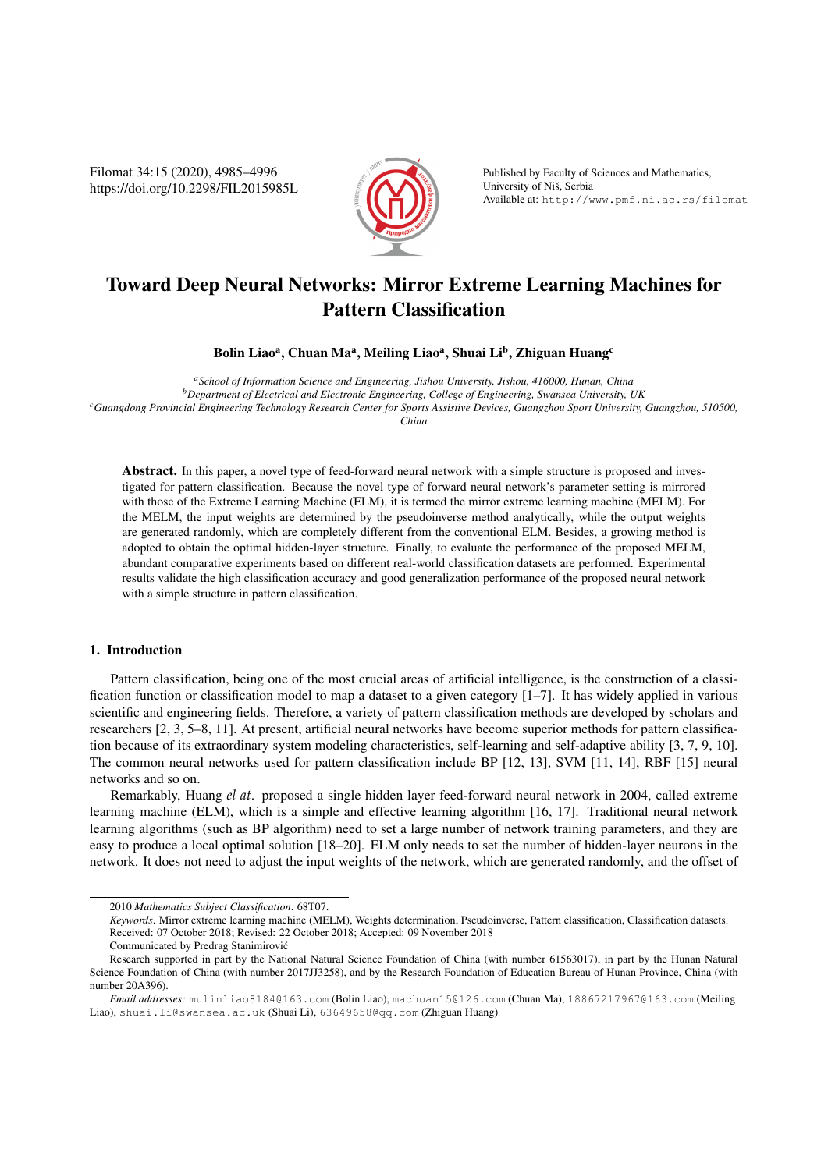Filomat 34:15 (2020), 4985–4996 https://doi.org/10.2298/FIL2015985L



Published by Faculty of Sciences and Mathematics, University of Nis, Serbia ˇ Available at: http://www.pmf.ni.ac.rs/filomat

# Toward Deep Neural Networks: Mirror Extreme Learning Machines for Pattern Classification

Bolin Liao<sup>a</sup>, Chuan Ma<sup>a</sup>, Meiling Liao<sup>a</sup>, Shuai Li<sup>b</sup>, Zhiguan Huang<sup>c</sup>

*<sup>a</sup>School of Information Science and Engineering, Jishou University, Jishou, 416000, Hunan, China <sup>b</sup>Department of Electrical and Electronic Engineering, College of Engineering, Swansea University, UK <sup>c</sup>Guangdong Provincial Engineering Technology Research Center for Sports Assistive Devices, Guangzhou Sport University, Guangzhou, 510500, China*

Abstract. In this paper, a novel type of feed-forward neural network with a simple structure is proposed and investigated for pattern classification. Because the novel type of forward neural network's parameter setting is mirrored with those of the Extreme Learning Machine (ELM), it is termed the mirror extreme learning machine (MELM). For the MELM, the input weights are determined by the pseudoinverse method analytically, while the output weights are generated randomly, which are completely different from the conventional ELM. Besides, a growing method is adopted to obtain the optimal hidden-layer structure. Finally, to evaluate the performance of the proposed MELM, abundant comparative experiments based on different real-world classification datasets are performed. Experimental results validate the high classification accuracy and good generalization performance of the proposed neural network with a simple structure in pattern classification.

#### 1. Introduction

Pattern classification, being one of the most crucial areas of artificial intelligence, is the construction of a classification function or classification model to map a dataset to a given category [1–7]. It has widely applied in various scientific and engineering fields. Therefore, a variety of pattern classification methods are developed by scholars and researchers [2, 3, 5–8, 11]. At present, artificial neural networks have become superior methods for pattern classification because of its extraordinary system modeling characteristics, self-learning and self-adaptive ability [3, 7, 9, 10]. The common neural networks used for pattern classification include BP [12, 13], SVM [11, 14], RBF [15] neural networks and so on.

Remarkably, Huang *el at*. proposed a single hidden layer feed-forward neural network in 2004, called extreme learning machine (ELM), which is a simple and effective learning algorithm [16, 17]. Traditional neural network learning algorithms (such as BP algorithm) need to set a large number of network training parameters, and they are easy to produce a local optimal solution [18–20]. ELM only needs to set the number of hidden-layer neurons in the network. It does not need to adjust the input weights of the network, which are generated randomly, and the offset of

Communicated by Predrag Stanimirovic´

<sup>2010</sup> *Mathematics Subject Classification*. 68T07.

*Keywords*. Mirror extreme learning machine (MELM), Weights determination, Pseudoinverse, Pattern classification, Classification datasets. Received: 07 October 2018; Revised: 22 October 2018; Accepted: 09 November 2018

Research supported in part by the National Natural Science Foundation of China (with number 61563017), in part by the Hunan Natural Science Foundation of China (with number 2017JJ3258), and by the Research Foundation of Education Bureau of Hunan Province, China (with number 20A396).

*Email addresses:* mulinliao8184@163.com (Bolin Liao), machuan15@126.com (Chuan Ma), 18867217967@163.com (Meiling Liao), shuai.li@swansea.ac.uk (Shuai Li), 63649658@qq.com (Zhiguan Huang)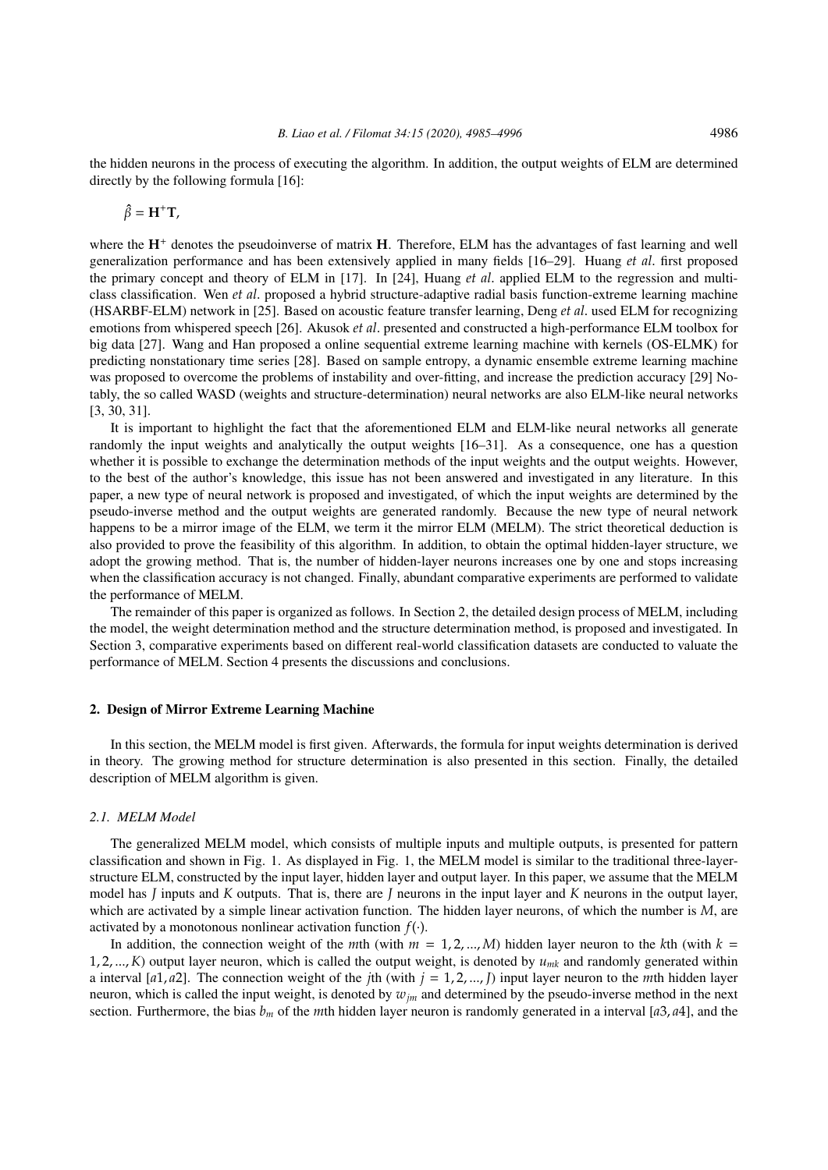the hidden neurons in the process of executing the algorithm. In addition, the output weights of ELM are determined directly by the following formula [16]:

$$
\hat{\beta} = H^+T,
$$

where the **H**<sup>+</sup> denotes the pseudoinverse of matrix **H**. Therefore, ELM has the advantages of fast learning and well generalization performance and has been extensively applied in many fields [16–29]. Huang *et al*. first proposed the primary concept and theory of ELM in [17]. In [24], Huang *et al*. applied ELM to the regression and multiclass classification. Wen *et al*. proposed a hybrid structure-adaptive radial basis function-extreme learning machine (HSARBF-ELM) network in [25]. Based on acoustic feature transfer learning, Deng *et al*. used ELM for recognizing emotions from whispered speech [26]. Akusok *et al*. presented and constructed a high-performance ELM toolbox for big data [27]. Wang and Han proposed a online sequential extreme learning machine with kernels (OS-ELMK) for predicting nonstationary time series [28]. Based on sample entropy, a dynamic ensemble extreme learning machine was proposed to overcome the problems of instability and over-fitting, and increase the prediction accuracy [29] Notably, the so called WASD (weights and structure-determination) neural networks are also ELM-like neural networks [3, 30, 31].

It is important to highlight the fact that the aforementioned ELM and ELM-like neural networks all generate randomly the input weights and analytically the output weights [16–31]. As a consequence, one has a question whether it is possible to exchange the determination methods of the input weights and the output weights. However, to the best of the author's knowledge, this issue has not been answered and investigated in any literature. In this paper, a new type of neural network is proposed and investigated, of which the input weights are determined by the pseudo-inverse method and the output weights are generated randomly. Because the new type of neural network happens to be a mirror image of the ELM, we term it the mirror ELM (MELM). The strict theoretical deduction is also provided to prove the feasibility of this algorithm. In addition, to obtain the optimal hidden-layer structure, we adopt the growing method. That is, the number of hidden-layer neurons increases one by one and stops increasing when the classification accuracy is not changed. Finally, abundant comparative experiments are performed to validate the performance of MELM.

The remainder of this paper is organized as follows. In Section 2, the detailed design process of MELM, including the model, the weight determination method and the structure determination method, is proposed and investigated. In Section 3, comparative experiments based on different real-world classification datasets are conducted to valuate the performance of MELM. Section 4 presents the discussions and conclusions.

#### 2. Design of Mirror Extreme Learning Machine

In this section, the MELM model is first given. Afterwards, the formula for input weights determination is derived in theory. The growing method for structure determination is also presented in this section. Finally, the detailed description of MELM algorithm is given.

### *2.1. MELM Model*

The generalized MELM model, which consists of multiple inputs and multiple outputs, is presented for pattern classification and shown in Fig. 1. As displayed in Fig. 1, the MELM model is similar to the traditional three-layerstructure ELM, constructed by the input layer, hidden layer and output layer. In this paper, we assume that the MELM model has *J* inputs and *K* outputs. That is, there are *J* neurons in the input layer and *K* neurons in the output layer, which are activated by a simple linear activation function. The hidden layer neurons, of which the number is *M*, are activated by a monotonous nonlinear activation function  $f(\cdot)$ .

In addition, the connection weight of the *m*th (with  $m = 1, 2, ..., M$ ) hidden layer neuron to the *k*th (with  $k =$ 1, 2, ...,  $K$ ) output layer neuron, which is called the output weight, is denoted by  $u_{mk}$  and randomly generated within a interval [ $a1, a2$ ]. The connection weight of the *j*th (with  $j = 1, 2, ..., J$ ) input layer neuron to the *m*th hidden layer neuron, which is called the input weight, is denoted by *wjm* and determined by the pseudo-inverse method in the next section. Furthermore, the bias  $b_m$  of the *m*th hidden layer neuron is randomly generated in a interval [ $a^3$ ,  $a^4$ ], and the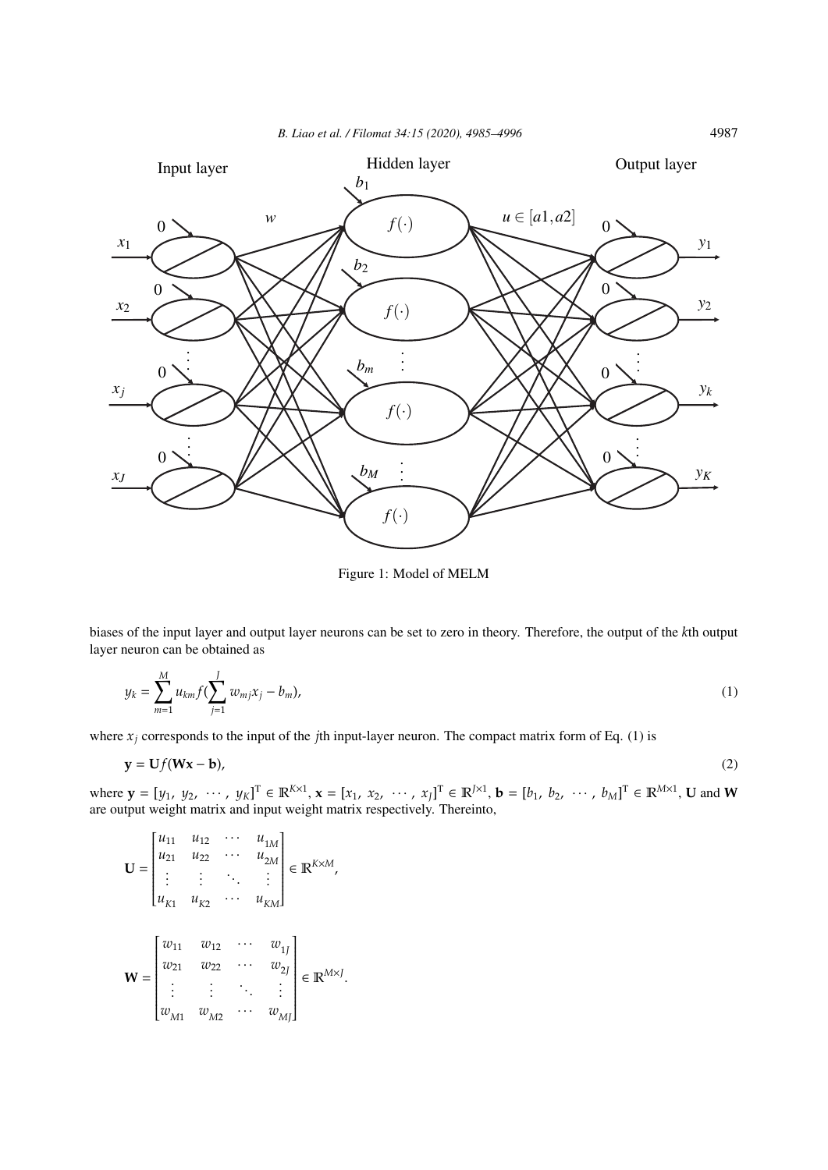*B. Liao et al. / Filomat 34:15 (2020), 4985–4996* 4987



Figure 1: Model of MELM

biases of the input layer and output layer neurons can be set to zero in theory. Therefore, the output of the *k*th output layer neuron can be obtained as

$$
y_k = \sum_{m=1}^{M} u_{km} f(\sum_{j=1}^{J} w_{mj} x_j - b_m),
$$
 (1)

where  $x_j$  corresponds to the input of the *j*th input-layer neuron. The compact matrix form of Eq. (1) is

$$
y = Uf(Wx - b),
$$
 (2)

where  $\mathbf{y} = [y_1, y_2, \dots, y_K]^T \in \mathbb{R}^{K \times 1}, \mathbf{x} = [x_1, x_2, \dots, x_J]^T \in \mathbb{R}^{J \times 1}, \mathbf{b} = [b_1, b_2, \dots, b_M]^T \in \mathbb{R}^{M \times 1}, \mathbf{U}$  and W are output weight matrix and input weight matrix respectively. Thereinto,

$$
\mathbf{U} = \begin{bmatrix} u_{11} & u_{12} & \cdots & u_{1M} \\ u_{21} & u_{22} & \cdots & u_{2M} \\ \vdots & \vdots & \ddots & \vdots \\ u_{K1} & u_{K2} & \cdots & u_{KM} \end{bmatrix} \in \mathbb{R}^{K \times M},
$$

$$
\mathbf{W} = \begin{bmatrix} w_{11} & w_{12} & \cdots & w_{1J} \\ w_{21} & w_{22} & \cdots & w_{2J} \\ \vdots & \vdots & \ddots & \vdots \\ w_{M1} & w_{M2} & \cdots & w_{MJ} \end{bmatrix} \in \mathbb{R}^{M \times J}.
$$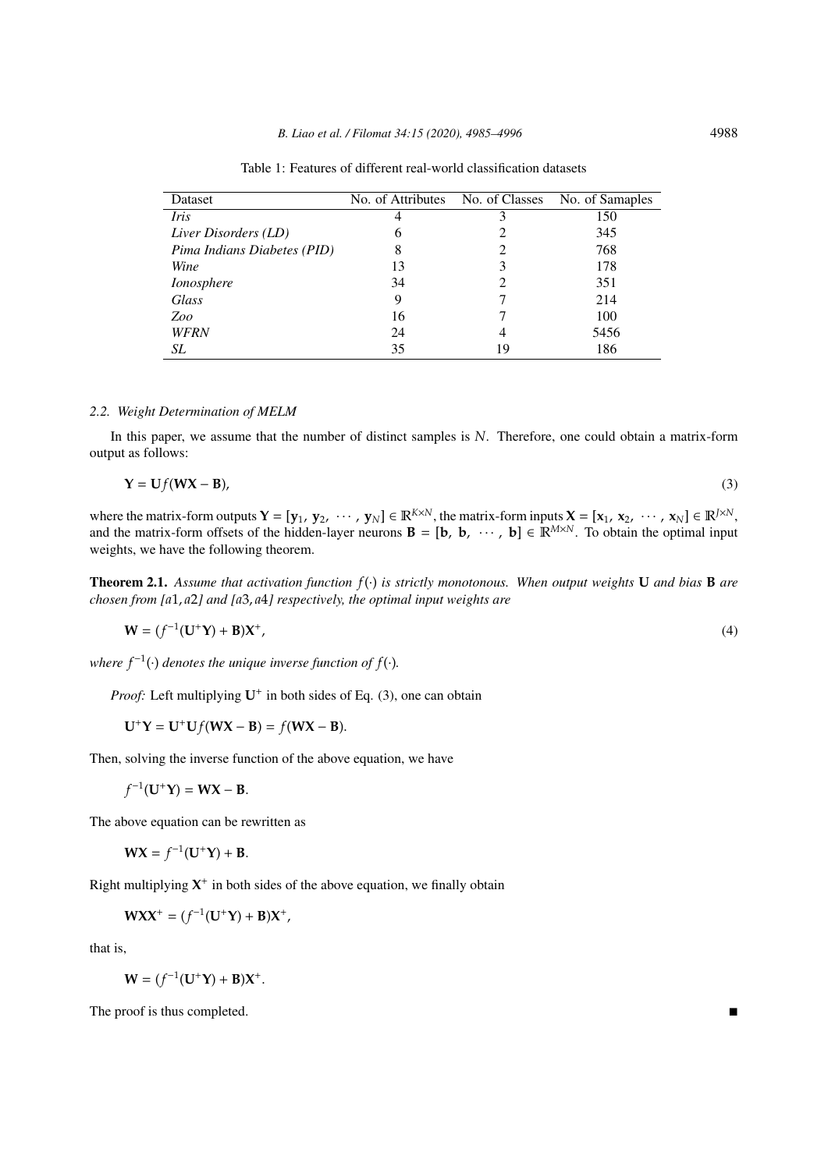| Dataset                     | No. of Attributes |    | No. of Classes No. of Samaples |
|-----------------------------|-------------------|----|--------------------------------|
| Iris                        | 4                 | 3  | 150                            |
| Liver Disorders (LD)        | b                 |    | 345                            |
| Pima Indians Diabetes (PID) | 8                 | 2  | 768                            |
| Wine                        | 13                | 3  | 178                            |
| Ionosphere                  | 34                |    | 351                            |
| Glass                       | 9                 |    | 214                            |
| Zoo                         | 16                |    | 100                            |
| <b>WFRN</b>                 | 24                | 4  | 5456                           |
| SL                          | 35                | 19 | 186                            |

Table 1: Features of different real-world classification datasets

## *2.2. Weight Determination of MELM*

In this paper, we assume that the number of distinct samples is *N*. Therefore, one could obtain a matrix-form output as follows:

$$
Y = Uf(WX - B),
$$
\n(3)

where the matrix-form outputs  $\mathbf{Y} = [\mathbf{y}_1, \mathbf{y}_2, \cdots, \mathbf{y}_N] \in \mathbb{R}^{K \times N}$ , the matrix-form inputs  $\mathbf{X} = [\mathbf{x}_1, \mathbf{x}_2, \cdots, \mathbf{x}_N] \in \mathbb{R}^{J \times N}$ , and the matrix-form offsets of the hidden-layer neurons  $\mathbf{B} = [\mathbf{b}, \mathbf{b}, \cdots, \mathbf{b}] \in \mathbb{R}^{M \times N}$ . To obtain the optimal input weights, we have the following theorem.

Theorem 2.1. *Assume that activation function f*(·) *is strictly monotonous. When output weights* **U** *and bias* **B** *are chosen from [a*1, *a*2*] and [a*3, *a*4*] respectively, the optimal input weights are*

$$
\mathbf{W} = (f^{-1}(\mathbf{U}^+\mathbf{Y}) + \mathbf{B})\mathbf{X}^+, \tag{4}
$$

where  $f^{-1}(\cdot)$  denotes the unique inverse function of  $f(\cdot)$ .

Proof: Left multiplying  $U^+$  in both sides of Eq. (3), one can obtain

 $U^+Y = U^+Uf(WX - B) = f(WX - B).$ 

Then, solving the inverse function of the above equation, we have

$$
f^{-1}(\mathbf{U}^+\mathbf{Y}) = \mathbf{W}\mathbf{X} - \mathbf{B}.
$$

The above equation can be rewritten as

 $WX = f^{-1}(U^+Y) + B.$ 

Right multiplying  $X^+$  in both sides of the above equation, we finally obtain

$$
WX^+ = (f^{-1}(U^+Y) + B)X^+,
$$

that is,

$$
\mathbf{W} = (f^{-1}(\mathbf{U}^+\mathbf{Y}) + \mathbf{B})\mathbf{X}^+.
$$

The proof is thus completed.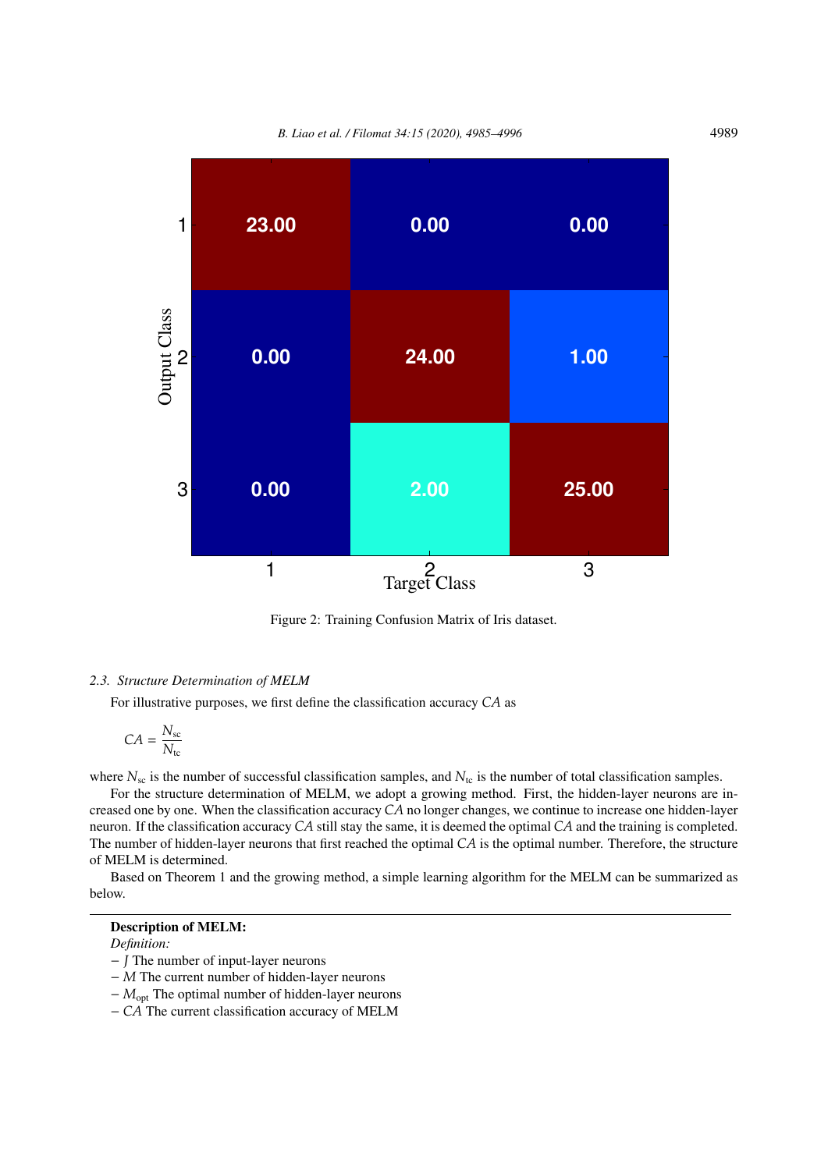*B. Liao et al. / Filomat 34:15 (2020), 4985–4996* 4989



Figure 2: Training Confusion Matrix of Iris dataset.

#### *2.3. Structure Determination of MELM*

For illustrative purposes, we first define the classification accuracy *CA* as

$$
CA = \frac{N_{\rm sc}}{N_{\rm tc}}
$$

where  $N_{\rm sc}$  is the number of successful classification samples, and  $N_{\rm tc}$  is the number of total classification samples.

For the structure determination of MELM, we adopt a growing method. First, the hidden-layer neurons are increased one by one. When the classification accuracy *CA* no longer changes, we continue to increase one hidden-layer neuron. If the classification accuracy *CA* still stay the same, it is deemed the optimal *CA* and the training is completed. The number of hidden-layer neurons that first reached the optimal *CA* is the optimal number. Therefore, the structure of MELM is determined.

Based on Theorem 1 and the growing method, a simple learning algorithm for the MELM can be summarized as below.

# Description of MELM:

*Definition:*

- − *J* The number of input-layer neurons
- − *M* The current number of hidden-layer neurons
- − *M*opt The optimal number of hidden-layer neurons
- − *CA* The current classification accuracy of MELM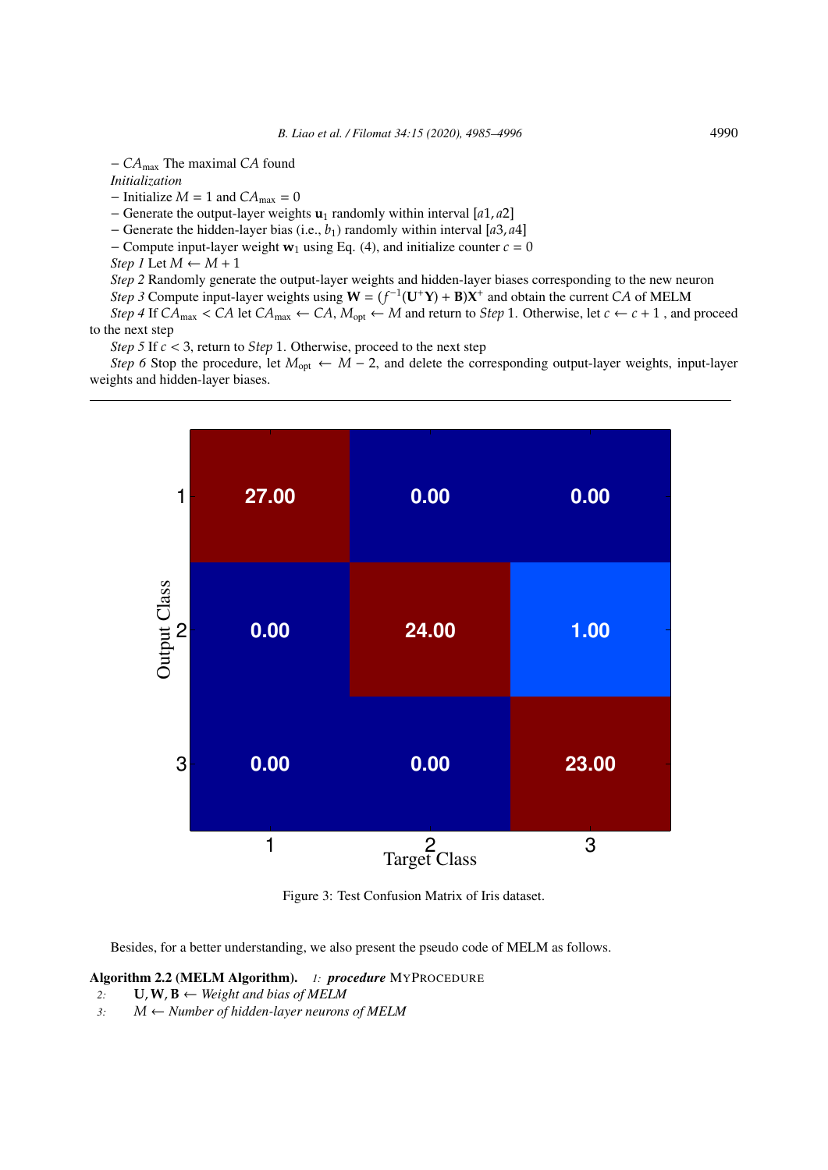− *CA*max The maximal *CA* found

*Initialization*

 $-$  Initialize  $M = 1$  and  $CA_{\text{max}} = 0$ 

− Generate the output-layer weights **u**<sup>1</sup> randomly within interval [*a*1, *a*2]

− Generate the hidden-layer bias (i.e., *b*1) randomly within interval [*a*3, *a*4]

 $-$  Compute input-layer weight **w**<sub>1</sub> using Eq. (4), and initialize counter  $c = 0$ 

*Step 1* Let  $M \leftarrow M + 1$ 

*Step 2* Randomly generate the output-layer weights and hidden-layer biases corresponding to the new neuron *Step 3* Compute input-layer weights using  $W = (f^{-1}(U^+Y) + B)X^+$  and obtain the current *CA* of MELM *Step 4* If  $CA_{\text{max}} < CA$  let  $CA_{\text{max}} \leftarrow CA$ ,  $M_{\text{opt}} \leftarrow M$  and return to *Step* 1. Otherwise, let  $c \leftarrow c + 1$ , and proceed

to the next step

*Step 5* If *c* < 3, return to *Step* 1. Otherwise, proceed to the next step

*Step 6* Stop the procedure, let  $M_{opt} \leftarrow M - 2$ , and delete the corresponding output-layer weights, input-layer weights and hidden-layer biases.



Figure 3: Test Confusion Matrix of Iris dataset.

Besides, for a better understanding, we also present the pseudo code of MELM as follows.

#### Algorithm 2.2 (MELM Algorithm). *1: procedure* MYPROCEDURE

2: **U**,  $W$ ,  $B \leftarrow Weight$  *and bias of MELM* 

*3: M* ← *Number of hidden-layer neurons of MELM*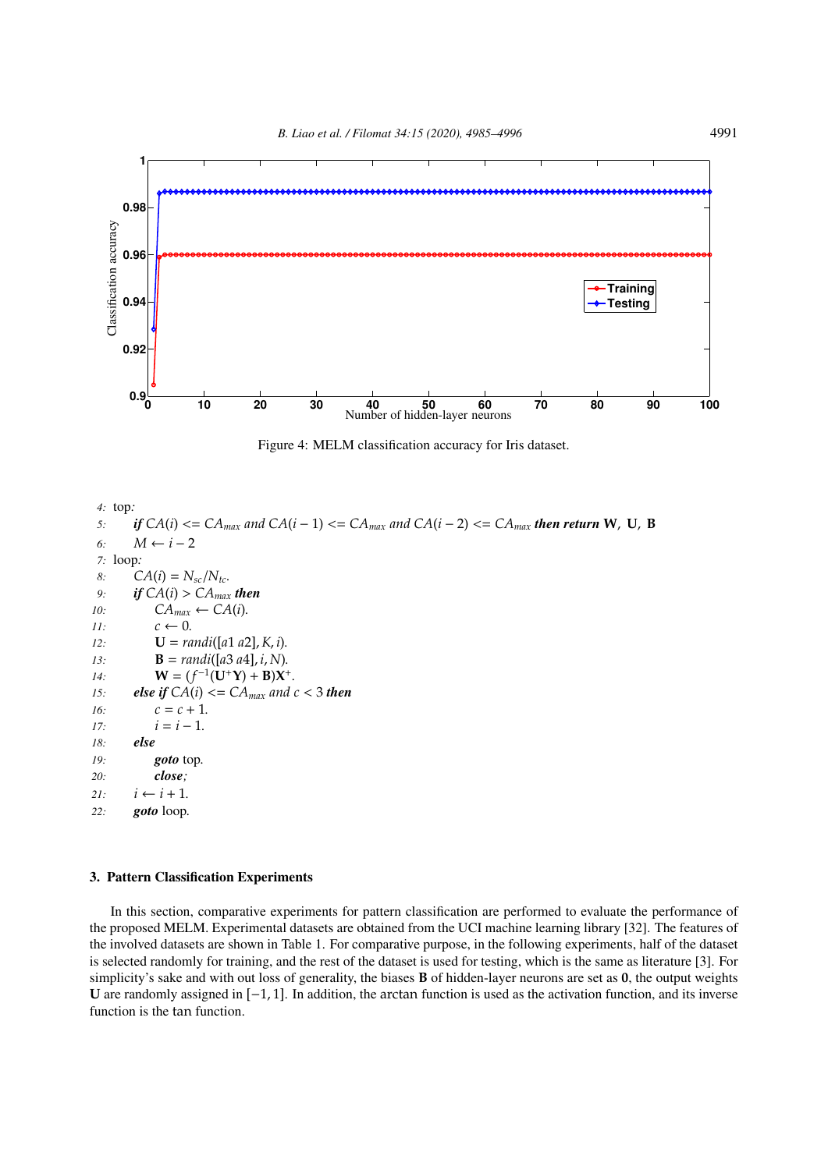

Figure 4: MELM classification accuracy for Iris dataset.

*4:* top*: 5*: *if*  $CA(i) \leq CA_{max}$  and  $CA(i-1) \leq CA_{max}$  and  $CA(i-2) \leq CA_{max}$  then return W, U, B *6: M* ← *i* − 2 *7:* loop*: 8:*  $CA(i) = N_{sc}/N_{tc}$ . 9: *if*  $CA(i) > CA_{max}$  *then 10:*  $CA_{max} \leftarrow CA(i)$ . *11:*  $c \leftarrow 0$ . *12:* **U** = *randi*([*a*1 *a*2],*K*, *i*)*. 13:* **B** = *randi*([*a*3 *a*4], *i*, *N*)*. 14*: **W** =  $(f^{-1}(\mathbf{U}^+ \mathbf{Y}) + \mathbf{B})\mathbf{X}^+$ . *15: else if*  $CA(i) \leq CA_{max}$  and  $c \leq 3$  then  $16:$   $c = c + 1.$ *i* =  $i = i - 1$ . *18: else 19: goto* top*. 20: close;*  $21:$  *i* ← *i* + 1. *22: goto* loop*.*

### 3. Pattern Classification Experiments

In this section, comparative experiments for pattern classification are performed to evaluate the performance of the proposed MELM. Experimental datasets are obtained from the UCI machine learning library [32]. The features of the involved datasets are shown in Table 1. For comparative purpose, in the following experiments, half of the dataset is selected randomly for training, and the rest of the dataset is used for testing, which is the same as literature [3]. For simplicity's sake and with out loss of generality, the biases **B** of hidden-layer neurons are set as **0**, the output weights **U** are randomly assigned in [−1, 1]. In addition, the arctan function is used as the activation function, and its inverse function is the tan function.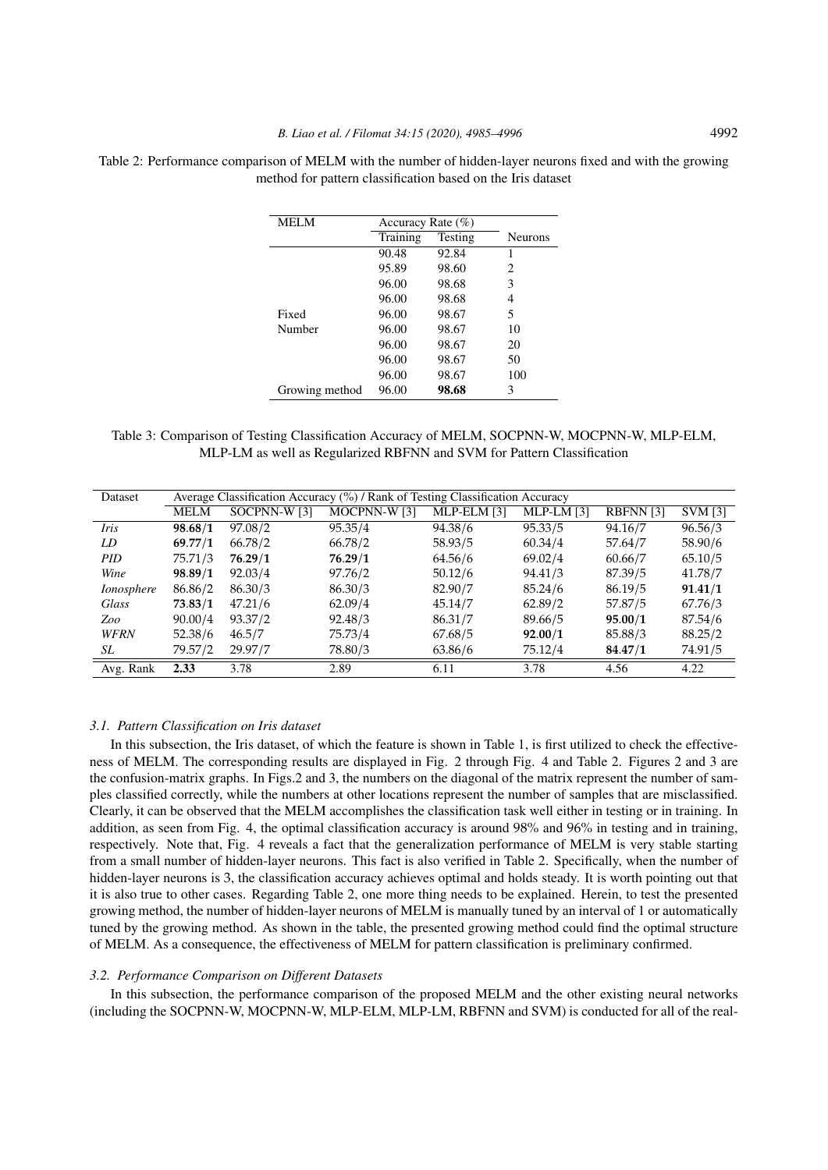| <b>MELM</b>    | Accuracy Rate (%) |         |                |
|----------------|-------------------|---------|----------------|
|                | Training          | Testing | <b>Neurons</b> |
|                | 90.48             | 92.84   | 1              |
|                | 95.89             | 98.60   | 2              |
|                | 96.00             | 98.68   | 3              |
|                | 96.00             | 98.68   | 4              |
| Fixed          | 96.00             | 98.67   | 5              |
| Number         | 96.00             | 98.67   | 10             |
|                | 96.00             | 98.67   | 20             |
|                | 96.00             | 98.67   | 50             |
|                | 96.00             | 98.67   | 100            |
| Growing method | 96.00             | 98.68   | 3              |

Table 2: Performance comparison of MELM with the number of hidden-layer neurons fixed and with the growing method for pattern classification based on the Iris dataset

Table 3: Comparison of Testing Classification Accuracy of MELM, SOCPNN-W, MOCPNN-W, MLP-ELM, MLP-LM as well as Regularized RBFNN and SVM for Pattern Classification

| Dataset           | Average Classification Accuracy (%) / Rank of Testing Classification Accuracy |              |              |             |            |           |                |  |
|-------------------|-------------------------------------------------------------------------------|--------------|--------------|-------------|------------|-----------|----------------|--|
|                   | <b>MELM</b>                                                                   | SOCPNN-W [3] | MOCPNN-W [3] | MLP-ELM [3] | MLP-LM [3] | RBFNN [3] | <b>SVM</b> [3] |  |
| Iris              | 98.68/1                                                                       | 97.08/2      | 95.35/4      | 94.38/6     | 95.33/5    | 94.16/7   | 96.56/3        |  |
| LD                | 69.77/1                                                                       | 66.78/2      | 66.78/2      | 58.93/5     | 60.34/4    | 57.64/7   | 58.90/6        |  |
| <b>PID</b>        | 75.71/3                                                                       | 76.29/1      | 76.29/1      | 64.56/6     | 69.02/4    | 60.66/7   | 65.10/5        |  |
| Wine              | 98.89/1                                                                       | 92.03/4      | 97.76/2      | 50.12/6     | 94.41/3    | 87.39/5   | 41.78/7        |  |
| <i>Ionosphere</i> | 86.86/2                                                                       | 86.30/3      | 86.30/3      | 82.90/7     | 85.24/6    | 86.19/5   | 91.41/1        |  |
| Glass             | 73.83/1                                                                       | 47.21/6      | 62.09/4      | 45.14/7     | 62.89/2    | 57.87/5   | 67.76/3        |  |
| Zoo               | 90.00/4                                                                       | 93.37/2      | 92.48/3      | 86.31/7     | 89.66/5    | 95.00/1   | 87.54/6        |  |
| <b>WFRN</b>       | 52.38/6                                                                       | 46.5/7       | 75.73/4      | 67.68/5     | 92.00/1    | 85.88/3   | 88.25/2        |  |
| SL                | 79.57/2                                                                       | 29.97/7      | 78.80/3      | 63.86/6     | 75.12/4    | 84.47/1   | 74.91/5        |  |
| Avg. Rank         | 2.33                                                                          | 3.78         | 2.89         | 6.11        | 3.78       | 4.56      | 4.22           |  |

#### *3.1. Pattern Classification on Iris dataset*

In this subsection, the Iris dataset, of which the feature is shown in Table 1, is first utilized to check the effectiveness of MELM. The corresponding results are displayed in Fig. 2 through Fig. 4 and Table 2. Figures 2 and 3 are the confusion-matrix graphs. In Figs.2 and 3, the numbers on the diagonal of the matrix represent the number of samples classified correctly, while the numbers at other locations represent the number of samples that are misclassified. Clearly, it can be observed that the MELM accomplishes the classification task well either in testing or in training. In addition, as seen from Fig. 4, the optimal classification accuracy is around 98% and 96% in testing and in training, respectively. Note that, Fig. 4 reveals a fact that the generalization performance of MELM is very stable starting from a small number of hidden-layer neurons. This fact is also verified in Table 2. Specifically, when the number of hidden-layer neurons is 3, the classification accuracy achieves optimal and holds steady. It is worth pointing out that it is also true to other cases. Regarding Table 2, one more thing needs to be explained. Herein, to test the presented growing method, the number of hidden-layer neurons of MELM is manually tuned by an interval of 1 or automatically tuned by the growing method. As shown in the table, the presented growing method could find the optimal structure of MELM. As a consequence, the effectiveness of MELM for pattern classification is preliminary confirmed.

#### *3.2. Performance Comparison on Different Datasets*

In this subsection, the performance comparison of the proposed MELM and the other existing neural networks (including the SOCPNN-W, MOCPNN-W, MLP-ELM, MLP-LM, RBFNN and SVM) is conducted for all of the real-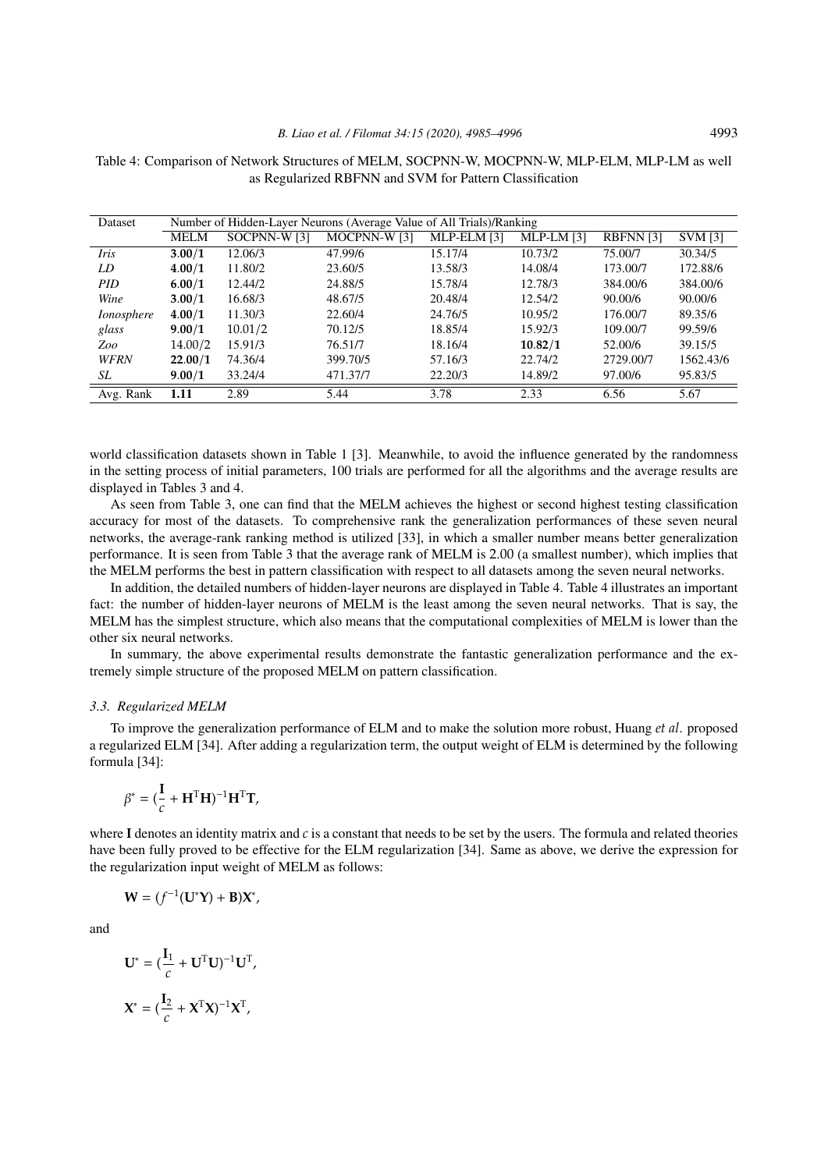| Dataset           | Number of Hidden-Layer Neurons (Average Value of All Trials)/Ranking |              |                     |             |            |                 |                |
|-------------------|----------------------------------------------------------------------|--------------|---------------------|-------------|------------|-----------------|----------------|
|                   | MELM                                                                 | SOCPNN-W [3] | <b>MOCPNN-W [3]</b> | MLP-ELM [3] | MLP-LM [3] | <b>RBFNN[3]</b> | <b>SVM</b> [3] |
| <i>Iris</i>       | 3.00/1                                                               | 12.06/3      | 47.99/6             | 15.17/4     | 10.73/2    | 75.00/7         | 30.34/5        |
| LD                | 4.00/1                                                               | 11.80/2      | 23.60/5             | 13.58/3     | 14.08/4    | 173,00/7        | 172.88/6       |
| <b>PID</b>        | 6.00/1                                                               | 12.44/2      | 24.88/5             | 15.78/4     | 12.78/3    | 384,00/6        | 384.00/6       |
| Wine              | 3.00/1                                                               | 16.68/3      | 48.67/5             | 20.48/4     | 12.54/2    | 90.00/6         | 90.00/6        |
| <i>Ionosphere</i> | 4.00/1                                                               | 11.30/3      | 22.60/4             | 24.76/5     | 10.95/2    | 176.00/7        | 89.35/6        |
| glass             | 9.00/1                                                               | 10.01/2      | 70.12/5             | 18.85/4     | 15.92/3    | 109.00/7        | 99.59/6        |
| Zoo               | 14.00/2                                                              | 15.91/3      | 76.51/7             | 18.16/4     | 10.82/1    | 52.00/6         | 39.15/5        |
| <b>WFRN</b>       | 22.00/1                                                              | 74.36/4      | 399.70/5            | 57.16/3     | 22.74/2    | 2729.00/7       | 1562.43/6      |
| SL                | 9.00/1                                                               | 33.24/4      | 471.37/7            | 22.20/3     | 14.89/2    | 97.00/6         | 95.83/5        |
| Avg. Rank         | 1.11                                                                 | 2.89         | 5.44                | 3.78        | 2.33       | 6.56            | 5.67           |

Table 4: Comparison of Network Structures of MELM, SOCPNN-W, MOCPNN-W, MLP-ELM, MLP-LM as well as Regularized RBFNN and SVM for Pattern Classification

world classification datasets shown in Table 1 [3]. Meanwhile, to avoid the influence generated by the randomness in the setting process of initial parameters, 100 trials are performed for all the algorithms and the average results are displayed in Tables 3 and 4.

As seen from Table 3, one can find that the MELM achieves the highest or second highest testing classification accuracy for most of the datasets. To comprehensive rank the generalization performances of these seven neural networks, the average-rank ranking method is utilized [33], in which a smaller number means better generalization performance. It is seen from Table 3 that the average rank of MELM is 2.00 (a smallest number), which implies that the MELM performs the best in pattern classification with respect to all datasets among the seven neural networks.

In addition, the detailed numbers of hidden-layer neurons are displayed in Table 4. Table 4 illustrates an important fact: the number of hidden-layer neurons of MELM is the least among the seven neural networks. That is say, the MELM has the simplest structure, which also means that the computational complexities of MELM is lower than the other six neural networks.

In summary, the above experimental results demonstrate the fantastic generalization performance and the extremely simple structure of the proposed MELM on pattern classification.

#### *3.3. Regularized MELM*

To improve the generalization performance of ELM and to make the solution more robust, Huang *et al*. proposed a regularized ELM [34]. After adding a regularization term, the output weight of ELM is determined by the following formula [34]:

$$
\beta^* = (\frac{\mathbf{I}}{c} + \mathbf{H}^{\mathrm{T}} \mathbf{H})^{-1} \mathbf{H}^{\mathrm{T}} \mathbf{T},
$$

where **I** denotes an identity matrix and *c* is a constant that needs to be set by the users. The formula and related theories have been fully proved to be effective for the ELM regularization [34]. Same as above, we derive the expression for the regularization input weight of MELM as follows:

$$
\mathbf{W}=(f^{-1}(\mathbf{U}^*\mathbf{Y})+\mathbf{B})\mathbf{X}^*,
$$

and

$$
\mathbf{U}^* = (\frac{\mathbf{I}_1}{c} + \mathbf{U}^{\mathrm{T}} \mathbf{U})^{-1} \mathbf{U}^{\mathrm{T}},
$$

$$
\mathbf{X}^* = (\frac{\mathbf{I}_2}{c} + \mathbf{X}^{\mathrm{T}} \mathbf{X})^{-1} \mathbf{X}^{\mathrm{T}},
$$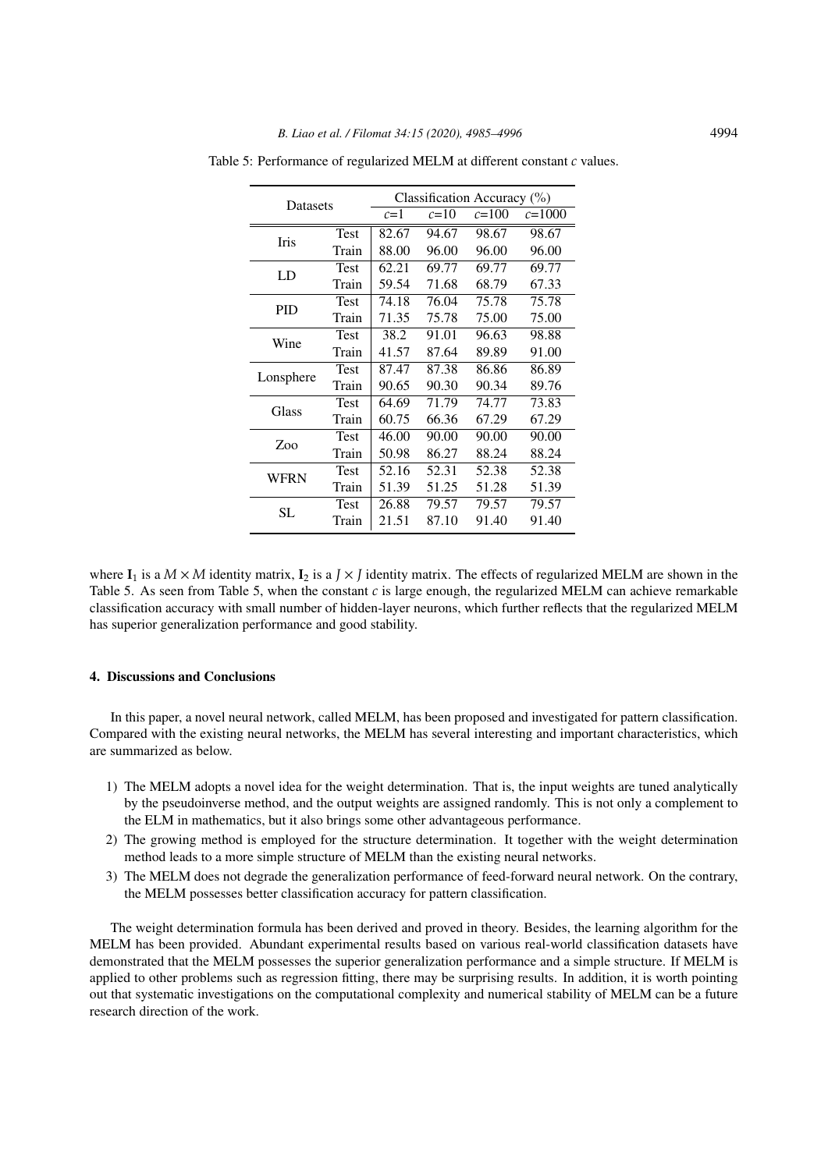| <b>Datasets</b> |             | Classification Accuracy (%) |          |           |            |  |
|-----------------|-------------|-----------------------------|----------|-----------|------------|--|
|                 |             | $c=1$                       | $c = 10$ | $c = 100$ | $c = 1000$ |  |
|                 | <b>Test</b> | 82.67                       | 94.67    | 98.67     | 98.67      |  |
| <b>Iris</b>     | Train       | 88.00                       | 96.00    | 96.00     | 96.00      |  |
| LD              | Test        | 62.21                       | 69.77    | 69.77     | 69.77      |  |
|                 | Train       | 59.54                       | 71.68    | 68.79     | 67.33      |  |
| <b>PID</b>      | Test        | 74.18                       | 76.04    | 75.78     | 75.78      |  |
|                 | Train       | 71.35                       | 75.78    | 75.00     | 75.00      |  |
| Wine            | Test        | 38.2                        | 91.01    | 96.63     | 98.88      |  |
|                 | Train       | 41.57                       | 87.64    | 89.89     | 91.00      |  |
|                 | <b>Test</b> | 87.47                       | 87.38    | 86.86     | 86.89      |  |
| Lonsphere       | Train       | 90.65                       | 90.30    | 90.34     | 89.76      |  |
| Glass           | Test        | 64.69                       | 71.79    | 74.77     | 73.83      |  |
|                 | Train       | 60.75                       | 66.36    | 67.29     | 67.29      |  |
| Zoo             | Test        | 46.00                       | 90.00    | 90.00     | 90.00      |  |
|                 | Train       | 50.98                       | 86.27    | 88.24     | 88.24      |  |
| WFRN            | Test        | 52.16                       | 52.31    | 52.38     | 52.38      |  |
|                 | Train       | 51.39                       | 51.25    | 51.28     | 51.39      |  |
| SL.             | Test        | 26.88                       | 79.57    | 79.57     | 79.57      |  |
|                 | Train       | 21.51                       | 87.10    | 91.40     | 91.40      |  |

Table 5: Performance of regularized MELM at different constant *c* values.

where  $I_1$  is a  $M \times M$  identity matrix,  $I_2$  is a  $J \times J$  identity matrix. The effects of regularized MELM are shown in the Table 5. As seen from Table 5, when the constant *c* is large enough, the regularized MELM can achieve remarkable classification accuracy with small number of hidden-layer neurons, which further reflects that the regularized MELM has superior generalization performance and good stability.

# 4. Discussions and Conclusions

In this paper, a novel neural network, called MELM, has been proposed and investigated for pattern classification. Compared with the existing neural networks, the MELM has several interesting and important characteristics, which are summarized as below.

- 1) The MELM adopts a novel idea for the weight determination. That is, the input weights are tuned analytically by the pseudoinverse method, and the output weights are assigned randomly. This is not only a complement to the ELM in mathematics, but it also brings some other advantageous performance.
- 2) The growing method is employed for the structure determination. It together with the weight determination method leads to a more simple structure of MELM than the existing neural networks.
- 3) The MELM does not degrade the generalization performance of feed-forward neural network. On the contrary, the MELM possesses better classification accuracy for pattern classification.

The weight determination formula has been derived and proved in theory. Besides, the learning algorithm for the MELM has been provided. Abundant experimental results based on various real-world classification datasets have demonstrated that the MELM possesses the superior generalization performance and a simple structure. If MELM is applied to other problems such as regression fitting, there may be surprising results. In addition, it is worth pointing out that systematic investigations on the computational complexity and numerical stability of MELM can be a future research direction of the work.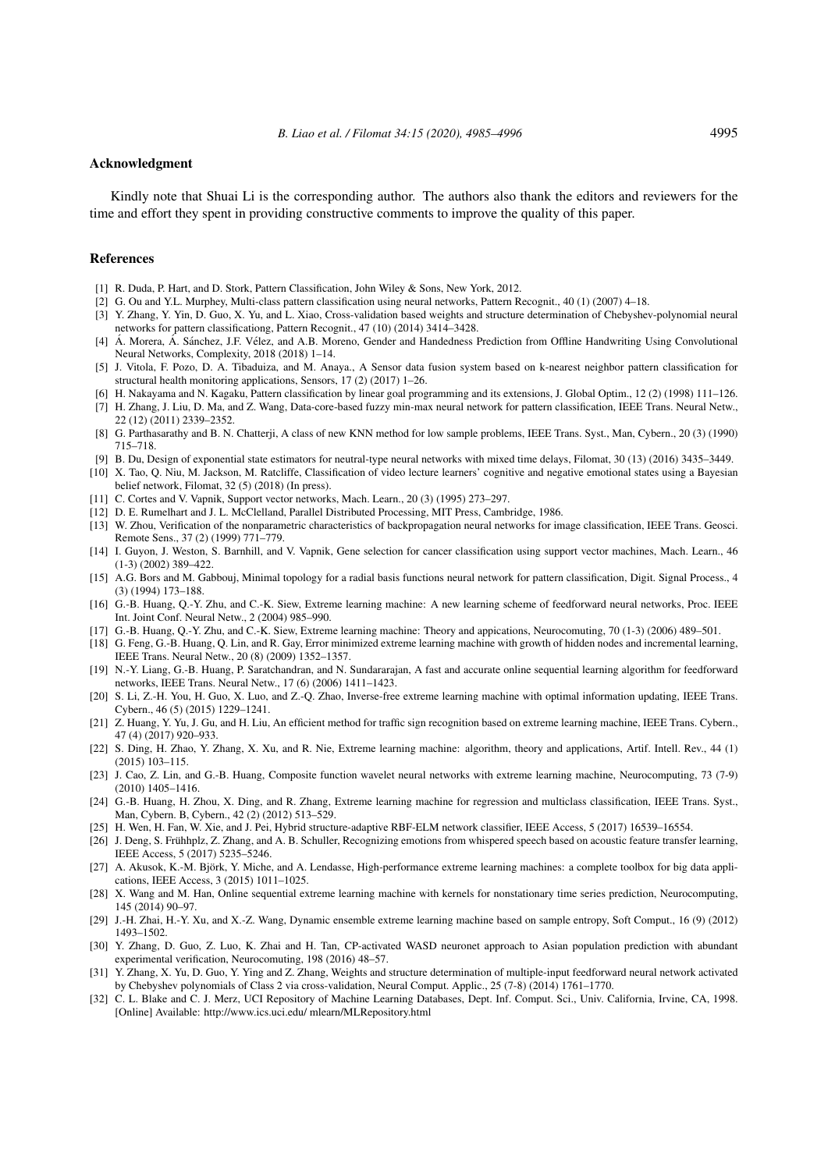#### Acknowledgment

Kindly note that Shuai Li is the corresponding author. The authors also thank the editors and reviewers for the time and effort they spent in providing constructive comments to improve the quality of this paper.

#### References

- [1] R. Duda, P. Hart, and D. Stork, Pattern Classification, John Wiley & Sons, New York, 2012.
- [2] G. Ou and Y.L. Murphey, Multi-class pattern classification using neural networks, Pattern Recognit., 40 (1) (2007) 4–18.
- [3] Y. Zhang, Y. Yin, D. Guo, X. Yu, and L. Xiao, Cross-validation based weights and structure determination of Chebyshev-polynomial neural networks for pattern classificationg, Pattern Recognit., 47 (10) (2014) 3414–3428.
- [4] Á. Morera, Á. Sánchez, J.F. Vélez, and A.B. Moreno, Gender and Handedness Prediction from Offline Handwriting Using Convolutional Neural Networks, Complexity, 2018 (2018) 1–14.
- [5] J. Vitola, F. Pozo, D. A. Tibaduiza, and M. Anaya., A Sensor data fusion system based on k-nearest neighbor pattern classification for structural health monitoring applications, Sensors, 17 (2) (2017) 1–26.
- [6] H. Nakayama and N. Kagaku, Pattern classification by linear goal programming and its extensions, J. Global Optim., 12 (2) (1998) 111–126.
- [7] H. Zhang, J. Liu, D. Ma, and Z. Wang, Data-core-based fuzzy min-max neural network for pattern classification, IEEE Trans. Neural Netw., 22 (12) (2011) 2339–2352.
- [8] G. Parthasarathy and B. N. Chatterji, A class of new KNN method for low sample problems, IEEE Trans. Syst., Man, Cybern., 20 (3) (1990) 715–718.
- [9] B. Du, Design of exponential state estimators for neutral-type neural networks with mixed time delays, Filomat, 30 (13) (2016) 3435–3449.
- [10] X. Tao, Q. Niu, M. Jackson, M. Ratcliffe, Classification of video lecture learners' cognitive and negative emotional states using a Bayesian belief network, Filomat, 32 (5) (2018) (In press).
- [11] C. Cortes and V. Vapnik, Support vector networks, Mach. Learn., 20 (3) (1995) 273–297.
- [12] D. E. Rumelhart and J. L. McClelland, Parallel Distributed Processing, MIT Press, Cambridge, 1986.
- [13] W. Zhou, Verification of the nonparametric characteristics of backpropagation neural networks for image classification, IEEE Trans. Geosci. Remote Sens., 37 (2) (1999) 771–779.
- [14] I. Guyon, J. Weston, S. Barnhill, and V. Vapnik, Gene selection for cancer classification using support vector machines, Mach. Learn., 46 (1-3) (2002) 389–422.
- [15] A.G. Bors and M. Gabbouj, Minimal topology for a radial basis functions neural network for pattern classification, Digit. Signal Process., 4 (3) (1994) 173–188.
- [16] G.-B. Huang, Q.-Y. Zhu, and C.-K. Siew, Extreme learning machine: A new learning scheme of feedforward neural networks, Proc. IEEE Int. Joint Conf. Neural Netw., 2 (2004) 985–990.
- [17] G.-B. Huang, Q.-Y. Zhu, and C.-K. Siew, Extreme learning machine: Theory and appications, Neurocomuting, 70 (1-3) (2006) 489–501.
- [18] G. Feng, G.-B. Huang, Q. Lin, and R. Gay, Error minimized extreme learning machine with growth of hidden nodes and incremental learning, IEEE Trans. Neural Netw., 20 (8) (2009) 1352–1357.
- [19] N.-Y. Liang, G.-B. Huang, P. Saratchandran, and N. Sundararajan, A fast and accurate online sequential learning algorithm for feedforward networks, IEEE Trans. Neural Netw., 17 (6) (2006) 1411–1423.
- [20] S. Li, Z.-H. You, H. Guo, X. Luo, and Z.-Q. Zhao, Inverse-free extreme learning machine with optimal information updating, IEEE Trans. Cybern., 46 (5) (2015) 1229–1241.
- [21] Z. Huang, Y. Yu, J. Gu, and H. Liu, An efficient method for traffic sign recognition based on extreme learning machine, IEEE Trans. Cybern., 47 (4) (2017) 920–933.
- [22] S. Ding, H. Zhao, Y. Zhang, X. Xu, and R. Nie, Extreme learning machine: algorithm, theory and applications, Artif. Intell. Rev., 44 (1) (2015) 103–115.
- [23] J. Cao, Z. Lin, and G.-B. Huang, Composite function wavelet neural networks with extreme learning machine, Neurocomputing, 73 (7-9) (2010) 1405–1416.
- [24] G.-B. Huang, H. Zhou, X. Ding, and R. Zhang, Extreme learning machine for regression and multiclass classification, IEEE Trans. Syst., Man, Cybern. B, Cybern., 42 (2) (2012) 513–529.
- [25] H. Wen, H. Fan, W. Xie, and J. Pei, Hybrid structure-adaptive RBF-ELM network classifier, IEEE Access, 5 (2017) 16539–16554.
- [26] J. Deng, S. Frühhplz, Z. Zhang, and A. B. Schuller, Recognizing emotions from whispered speech based on acoustic feature transfer learning, IEEE Access, 5 (2017) 5235–5246.
- [27] A. Akusok, K.-M. Björk, Y. Miche, and A. Lendasse, High-performance extreme learning machines: a complete toolbox for big data applications, IEEE Access, 3 (2015) 1011–1025.
- [28] X. Wang and M. Han, Online sequential extreme learning machine with kernels for nonstationary time series prediction, Neurocomputing, 145 (2014) 90–97.
- [29] J.-H. Zhai, H.-Y. Xu, and X.-Z. Wang, Dynamic ensemble extreme learning machine based on sample entropy, Soft Comput., 16 (9) (2012) 1493–1502.
- [30] Y. Zhang, D. Guo, Z. Luo, K. Zhai and H. Tan, CP-activated WASD neuronet approach to Asian population prediction with abundant experimental verification, Neurocomuting, 198 (2016) 48–57.
- [31] Y. Zhang, X. Yu, D. Guo, Y. Ying and Z. Zhang, Weights and structure determination of multiple-input feedforward neural network activated by Chebyshev polynomials of Class 2 via cross-validation, Neural Comput. Applic., 25 (7-8) (2014) 1761–1770.
- [32] C. L. Blake and C. J. Merz, UCI Repository of Machine Learning Databases, Dept. Inf. Comput. Sci., Univ. California, Irvine, CA, 1998. [Online] Available: http://www.ics.uci.edu/ mlearn/MLRepository.html